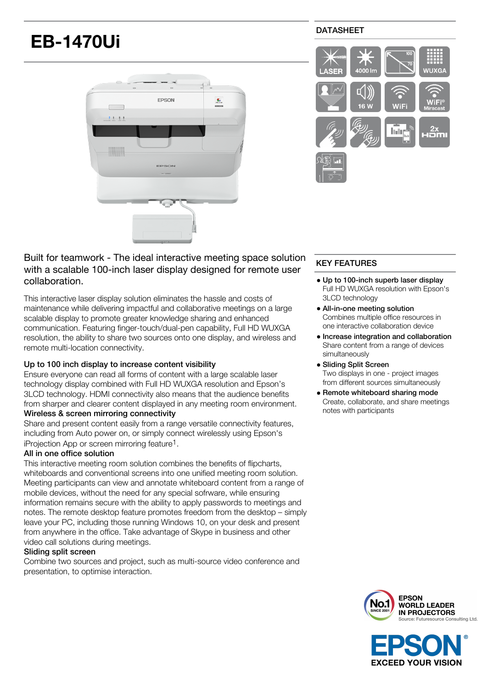# **EB-1470Ui**



# DATASHEET



Built for teamwork - The ideal interactive meeting space solution with a scalable 100-inch laser display designed for remote user collaboration.

This interactive laser display solution eliminates the hassle and costs of maintenance while delivering impactful and collaborative meetings on a large scalable display to promote greater knowledge sharing and enhanced communication. Featuring finger-touch/dual-pen capability, Full HD WUXGA resolution, the ability to share two sources onto one display, and wireless and remote multi-location connectivity.

## Up to 100 inch display to increase content visibility

Ensure everyone can read all forms of content with a large scalable laser technology display combined with Full HD WUXGA resolution and Epson's 3LCD technology. HDMI connectivity also means that the audience benefits from sharper and clearer content displayed in any meeting room environment.

## Wireless & screen mirroring connectivity

Share and present content easily from a range versatile connectivity features, including from Auto power on, or simply connect wirelessly using Epson's iProiection App or screen mirroring feature<sup>1</sup>.

## All in one office solution

This interactive meeting room solution combines the benefits of flipcharts, whiteboards and conventional screens into one unified meeting room solution. Meeting participants can view and annotate whiteboard content from a range of mobile devices, without the need for any special sofrware, while ensuring information remains secure with the ability to apply passwords to meetings and notes. The remote desktop feature promotes freedom from the desktop – simply leave your PC, including those running Windows 10, on your desk and present from anywhere in the office. Take advantage of Skype in business and other video call solutions during meetings.

### Sliding split screen

Combine two sources and project, such as multi-source video conference and presentation, to optimise interaction.

## KEY FEATURES

- Up to 100-inch superb laser display Full HD WUXGA resolution with Epson's 3LCD technology
- All-in-one meeting solution Combines multiple office resources in one interactive collaboration device
- Increase integration and collaboration Share content from a range of devices simultaneously
- Sliding Split Screen Two displays in one - project images from different sources simultaneously
- Remote whiteboard sharing mode Create, collaborate, and share meetings notes with participants



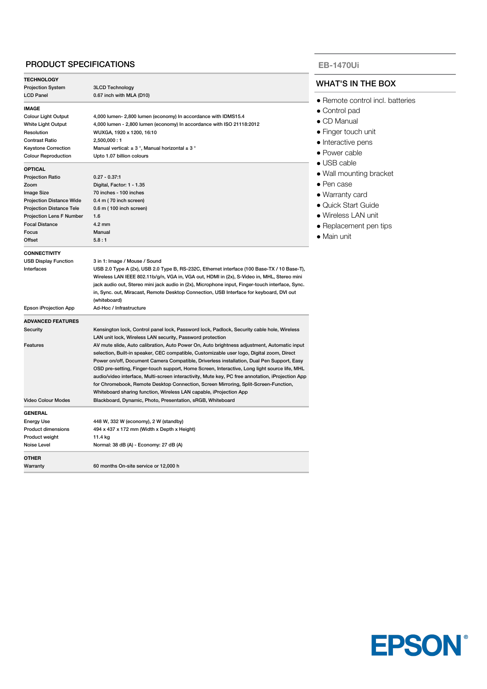## PRODUCT SPECIFICATIONS

| <b>TECHNOLOGY</b>               |                                                                                                  |  |
|---------------------------------|--------------------------------------------------------------------------------------------------|--|
| <b>Projection System</b>        | <b>3LCD Technology</b>                                                                           |  |
| <b>LCD Panel</b>                | 0.67 inch with MLA (D10)                                                                         |  |
| <b>IMAGE</b>                    |                                                                                                  |  |
| <b>Colour Light Output</b>      | 4,000 lumen- 2,800 lumen (economy) In accordance with IDMS15.4                                   |  |
| White Light Output              | 4,000 lumen - 2,800 lumen (economy) In accordance with ISO 21118:2012                            |  |
| Resolution                      | WUXGA, 1920 x 1200, 16:10                                                                        |  |
| <b>Contrast Ratio</b>           | 2,500,000:1                                                                                      |  |
| <b>Keystone Correction</b>      | Manual vertical: $\pm$ 3°, Manual horizontal $\pm$ 3°                                            |  |
| <b>Colour Reproduction</b>      | Upto 1.07 billion colours                                                                        |  |
| <b>OPTICAL</b>                  |                                                                                                  |  |
| <b>Projection Ratio</b>         | $0.27 - 0.37:1$                                                                                  |  |
| Zoom                            | Digital, Factor: 1 - 1.35                                                                        |  |
| <b>Image Size</b>               | 70 inches - 100 inches                                                                           |  |
| <b>Projection Distance Wide</b> | 0.4 m (70 inch screen)                                                                           |  |
| <b>Projection Distance Tele</b> | 0.6 m (100 inch screen)                                                                          |  |
| <b>Projection Lens F Number</b> | 1.6                                                                                              |  |
| <b>Focal Distance</b>           | $4.2 \text{ mm}$                                                                                 |  |
| Focus                           | Manual                                                                                           |  |
| Offset                          | 5.8:1                                                                                            |  |
|                                 |                                                                                                  |  |
| <b>CONNECTIVITY</b>             |                                                                                                  |  |
| <b>USB Display Function</b>     | 3 in 1: Image / Mouse / Sound                                                                    |  |
| Interfaces                      | USB 2.0 Type A (2x), USB 2.0 Type B, RS-232C, Ethernet interface (100 Base-TX / 10 Base-T),      |  |
|                                 | Wireless LAN IEEE 802.11b/g/n, VGA in, VGA out, HDMI in (2x), S-Video in, MHL, Stereo mini       |  |
|                                 | jack audio out, Stereo mini jack audio in (2x), Microphone input, Finger-touch interface, Sync.  |  |
|                                 | in, Sync. out, Miracast, Remote Desktop Connection, USB Interface for keyboard, DVI out          |  |
|                                 | (whiteboard)                                                                                     |  |
| Epson iProjection App           | Ad-Hoc / Infrastructure                                                                          |  |
| <b>ADVANCED FEATURES</b>        |                                                                                                  |  |
| Security                        | Kensington lock, Control panel lock, Password lock, Padlock, Security cable hole, Wireless       |  |
|                                 | LAN unit lock, Wireless LAN security, Password protection                                        |  |
| Features                        | AV mute slide, Auto calibration, Auto Power On, Auto brightness adjustment, Automatic input      |  |
|                                 | selection, Built-in speaker, CEC compatible, Customizable user logo, Digital zoom, Direct        |  |
|                                 | Power on/off, Document Camera Compatible, Driverless installation, Dual Pen Support, Easy        |  |
|                                 | OSD pre-setting, Finger-touch support, Home Screen, Interactive, Long light source life, MHL     |  |
|                                 | audio/video interface, Multi-screen interactivity, Mute key, PC free annotation, iProjection App |  |
|                                 | for Chromebook, Remote Desktop Connection, Screen Mirroring, Split-Screen-Function,              |  |
|                                 | Whiteboard sharing function, Wireless LAN capable, iProjection App                               |  |
| <b>Video Colour Modes</b>       |                                                                                                  |  |
|                                 | Blackboard, Dynamic, Photo, Presentation, sRGB, Whiteboard                                       |  |
| <b>GENERAL</b>                  |                                                                                                  |  |
| <b>Energy Use</b>               | 448 W, 332 W (economy), 2 W (standby)                                                            |  |
| <b>Product dimensions</b>       | 494 x 437 x 172 mm (Width x Depth x Height)                                                      |  |
| Product weight                  | 11.4 kg                                                                                          |  |
| Noise Level                     | Normal: 38 dB (A) - Economy: 27 dB (A)                                                           |  |
| OTHER                           |                                                                                                  |  |
| Warranty                        | 60 months On-site service or 12,000 h                                                            |  |

### **EB-1470Ui**

## WHAT'S IN THE BOX

- **Remote control incl. batteries**
- Control pad
- CD Manual
- **Finger touch unit**
- Interactive pens
- Power cable
- USB cable
- Wall mounting bracket
- Pen case
- Warranty card
- Quick Start Guide
- Wireless LAN unit
- **Replacement pen tips**
- Main unit